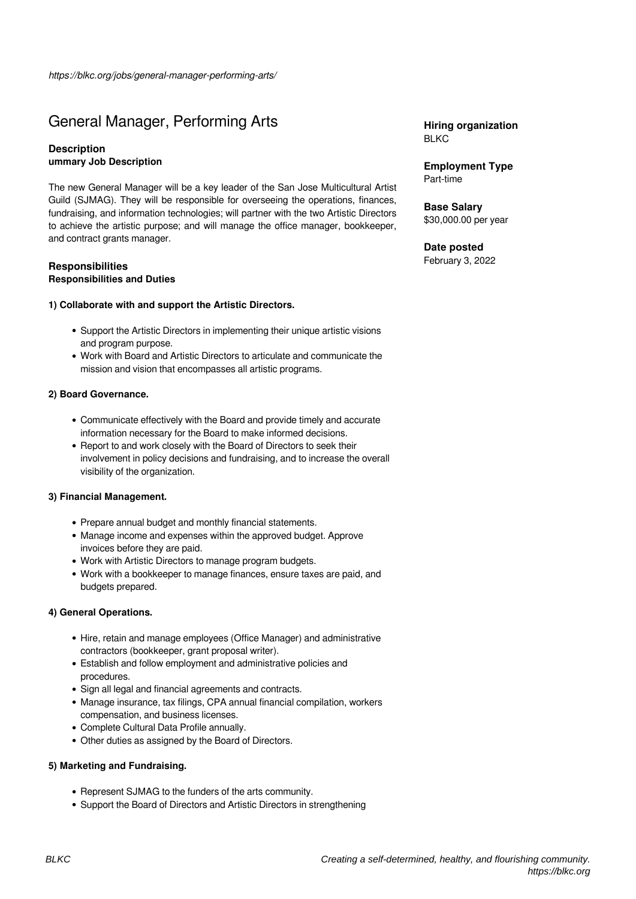# General Manager, Performing Arts

## **Description ummary Job Description**

The new General Manager will be a key leader of the San Jose Multicultural Artist Guild (SJMAG). They will be responsible for overseeing the operations, finances, fundraising, and information technologies; will partner with the two Artistic Directors to achieve the artistic purpose; and will manage the office manager, bookkeeper, and contract grants manager.

## **Responsibilities Responsibilities and Duties**

#### **1) Collaborate with and support the Artistic Directors.**

- Support the Artistic Directors in implementing their unique artistic visions and program purpose.
- Work with Board and Artistic Directors to articulate and communicate the mission and vision that encompasses all artistic programs.

#### **2) Board Governance.**

- Communicate effectively with the Board and provide timely and accurate information necessary for the Board to make informed decisions.
- Report to and work closely with the Board of Directors to seek their involvement in policy decisions and fundraising, and to increase the overall visibility of the organization.

#### **3) Financial Management.**

- Prepare annual budget and monthly financial statements.
- Manage income and expenses within the approved budget. Approve invoices before they are paid.
- Work with Artistic Directors to manage program budgets.
- Work with a bookkeeper to manage finances, ensure taxes are paid, and budgets prepared.

## **4) General Operations.**

- Hire, retain and manage employees (Office Manager) and administrative contractors (bookkeeper, grant proposal writer).
- Establish and follow employment and administrative policies and procedures.
- Sign all legal and financial agreements and contracts.
- Manage insurance, tax filings, CPA annual financial compilation, workers compensation, and business licenses.
- Complete Cultural Data Profile annually.
- Other duties as assigned by the Board of Directors.

### **5) Marketing and Fundraising.**

- Represent SJMAG to the funders of the arts community.
- Support the Board of Directors and Artistic Directors in strengthening

**Hiring organization BLKC** 

**Employment Type** Part-time

**Base Salary** \$30,000.00 per year

# **Date posted**

February 3, 2022